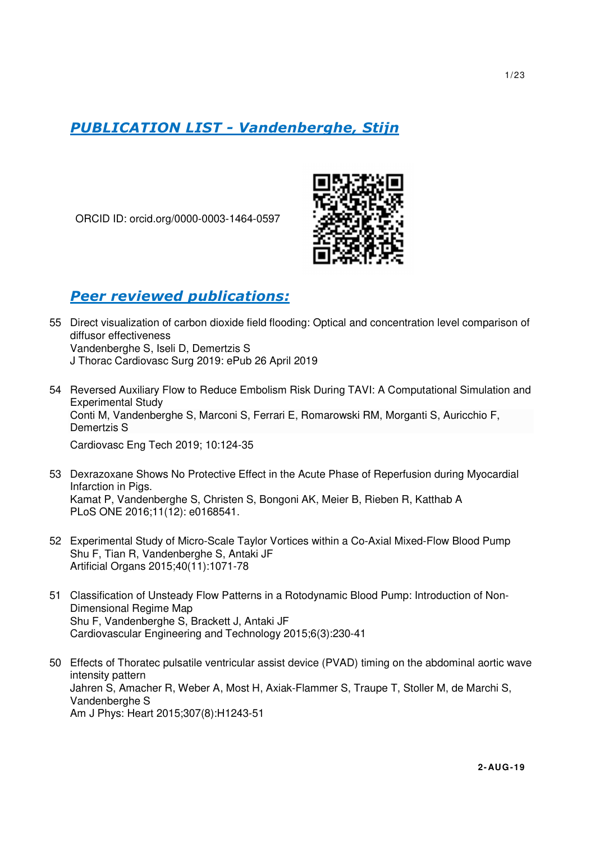# *PUBLICATION LIST - Vandenberghe, Stijn*

ORCID ID: orcid.org/0000-0003-1464-0597



# *Peer reviewed publications:*

- 55 Direct visualization of carbon dioxide field flooding: Optical and concentration level comparison of diffusor effectiveness Vandenberghe S, Iseli D, Demertzis S J Thorac Cardiovasc Surg 2019: ePub 26 April 2019
- 54 Reversed Auxiliary Flow to Reduce Embolism Risk During TAVI: A Computational Simulation and Experimental Study Conti M, Vandenberghe S, Marconi S, Ferrari E, Romarowski RM, Morganti S, Auricchio F, Demertzis S Cardiovasc Eng Tech 2019; 10:124-35
- 53 Dexrazoxane Shows No Protective Effect in the Acute Phase of Reperfusion during Myocardial Infarction in Pigs. Kamat P, Vandenberghe S, Christen S, Bongoni AK, Meier B, Rieben R, Katthab A PLoS ONE 2016;11(12): e0168541.
- 52 Experimental Study of Micro-Scale Taylor Vortices within a Co-Axial Mixed-Flow Blood Pump Shu F, Tian R, Vandenberghe S, Antaki JF Artificial Organs 2015;40(11):1071-78
- 51 Classification of Unsteady Flow Patterns in a Rotodynamic Blood Pump: Introduction of Non-Dimensional Regime Map Shu F, Vandenberghe S, Brackett J, Antaki JF Cardiovascular Engineering and Technology 2015;6(3):230-41
- 50 Effects of Thoratec pulsatile ventricular assist device (PVAD) timing on the abdominal aortic wave intensity pattern Jahren S, Amacher R, Weber A, Most H, Axiak-Flammer S, Traupe T, Stoller M, de Marchi S, Vandenberghe S Am J Phys: Heart 2015;307(8):H1243-51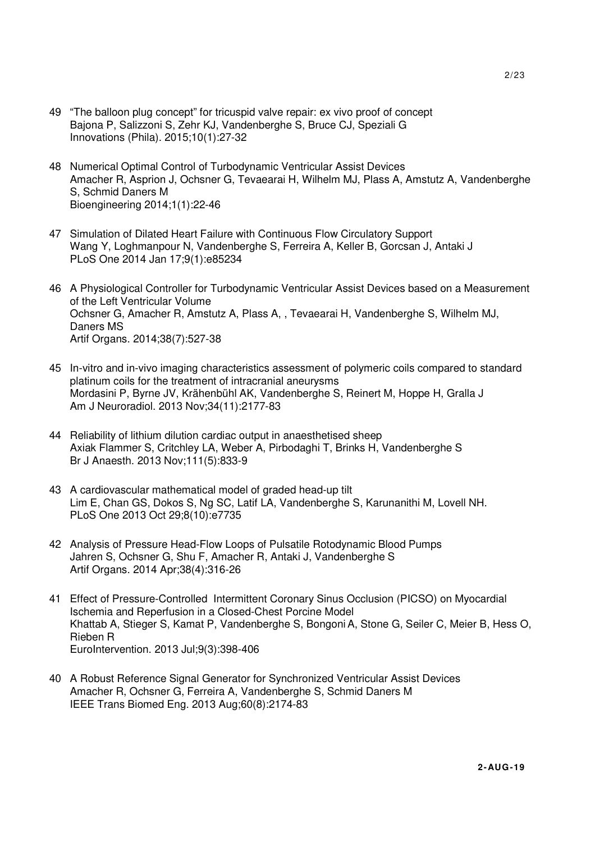- 49 "The balloon plug concept" for tricuspid valve repair: ex vivo proof of concept Bajona P, Salizzoni S, Zehr KJ, Vandenberghe S, Bruce CJ, Speziali G Innovations (Phila). 2015;10(1):27-32
- 48 Numerical Optimal Control of Turbodynamic Ventricular Assist Devices Amacher R, Asprion J, Ochsner G, Tevaearai H, Wilhelm MJ, Plass A, Amstutz A, Vandenberghe S, Schmid Daners M Bioengineering 2014;1(1):22-46
- 47 Simulation of Dilated Heart Failure with Continuous Flow Circulatory Support Wang Y, Loghmanpour N, Vandenberghe S, Ferreira A, Keller B, Gorcsan J, Antaki J PLoS One 2014 Jan 17;9(1):e85234
- 46 A Physiological Controller for Turbodynamic Ventricular Assist Devices based on a Measurement of the Left Ventricular Volume Ochsner G, Amacher R, Amstutz A, Plass A, , Tevaearai H, Vandenberghe S, Wilhelm MJ, Daners MS Artif Organs. 2014;38(7):527-38
- 45 In-vitro and in-vivo imaging characteristics assessment of polymeric coils compared to standard platinum coils for the treatment of intracranial aneurysms Mordasini P, Byrne JV, Krähenbühl AK, Vandenberghe S, Reinert M, Hoppe H, Gralla J Am J Neuroradiol. 2013 Nov;34(11):2177-83
- 44 Reliability of lithium dilution cardiac output in anaesthetised sheep Axiak Flammer S, Critchley LA, Weber A, Pirbodaghi T, Brinks H, Vandenberghe S Br J Anaesth. 2013 Nov;111(5):833-9
- 43 A cardiovascular mathematical model of graded head-up tilt Lim E, Chan GS, Dokos S, Ng SC, Latif LA, Vandenberghe S, Karunanithi M, Lovell NH. PLoS One 2013 Oct 29;8(10):e7735
- 42 Analysis of Pressure Head-Flow Loops of Pulsatile Rotodynamic Blood Pumps Jahren S, Ochsner G, Shu F, Amacher R, Antaki J, Vandenberghe S Artif Organs. 2014 Apr;38(4):316-26
- 41 Effect of Pressure-Controlled Intermittent Coronary Sinus Occlusion (PICSO) on Myocardial Ischemia and Reperfusion in a Closed-Chest Porcine Model Khattab A, Stieger S, Kamat P, Vandenberghe S, Bongoni A, Stone G, Seiler C, Meier B, Hess O, Rieben R EuroIntervention. 2013 Jul;9(3):398-406
- 40 A Robust Reference Signal Generator for Synchronized Ventricular Assist Devices Amacher R, Ochsner G, Ferreira A, Vandenberghe S, Schmid Daners M IEEE Trans Biomed Eng. 2013 Aug;60(8):2174-83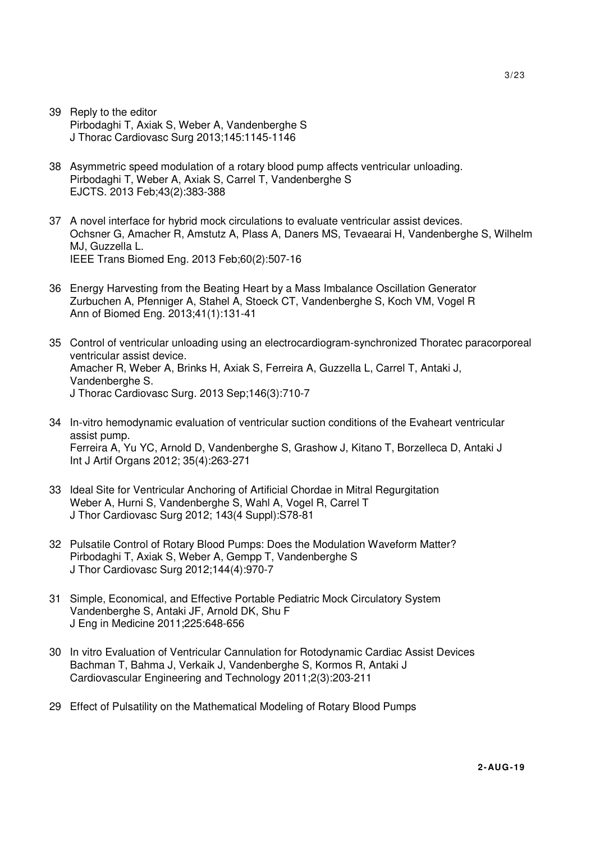- 39 Reply to the editor Pirbodaghi T, Axiak S, Weber A, Vandenberghe S J Thorac Cardiovasc Surg 2013;145:1145-1146
- 38 Asymmetric speed modulation of a rotary blood pump affects ventricular unloading. Pirbodaghi T, Weber A, Axiak S, Carrel T, Vandenberghe S EJCTS. 2013 Feb;43(2):383-388
- 37 A novel interface for hybrid mock circulations to evaluate ventricular assist devices. Ochsner G, Amacher R, Amstutz A, Plass A, Daners MS, Tevaearai H, Vandenberghe S, Wilhelm MJ, Guzzella L. IEEE Trans Biomed Eng. 2013 Feb;60(2):507-16
- 36 Energy Harvesting from the Beating Heart by a Mass Imbalance Oscillation Generator Zurbuchen A, Pfenniger A, Stahel A, Stoeck CT, Vandenberghe S, Koch VM, Vogel R Ann of Biomed Eng. 2013;41(1):131-41
- 35 Control of ventricular unloading using an electrocardiogram-synchronized Thoratec paracorporeal ventricular assist device. Amacher R, Weber A, Brinks H, Axiak S, Ferreira A, Guzzella L, Carrel T, Antaki J, Vandenberghe S. J Thorac Cardiovasc Surg. 2013 Sep;146(3):710-7
- 34 In-vitro hemodynamic evaluation of ventricular suction conditions of the Evaheart ventricular assist pump. Ferreira A, Yu YC, Arnold D, Vandenberghe S, Grashow J, Kitano T, Borzelleca D, Antaki J Int J Artif Organs 2012; 35(4):263-271
- 33 Ideal Site for Ventricular Anchoring of Artificial Chordae in Mitral Regurgitation Weber A, Hurni S, Vandenberghe S, Wahl A, Vogel R, Carrel T J Thor Cardiovasc Surg 2012; 143(4 Suppl):S78-81
- 32 Pulsatile Control of Rotary Blood Pumps: Does the Modulation Waveform Matter? Pirbodaghi T, Axiak S, Weber A, Gempp T, Vandenberghe S J Thor Cardiovasc Surg 2012;144(4):970-7
- 31 Simple, Economical, and Effective Portable Pediatric Mock Circulatory System Vandenberghe S, Antaki JF, Arnold DK, Shu F J Eng in Medicine 2011;225:648-656
- 30 In vitro Evaluation of Ventricular Cannulation for Rotodynamic Cardiac Assist Devices Bachman T, Bahma J, Verkaik J, Vandenberghe S, Kormos R, Antaki J Cardiovascular Engineering and Technology 2011;2(3):203-211
- 29 Effect of Pulsatility on the Mathematical Modeling of Rotary Blood Pumps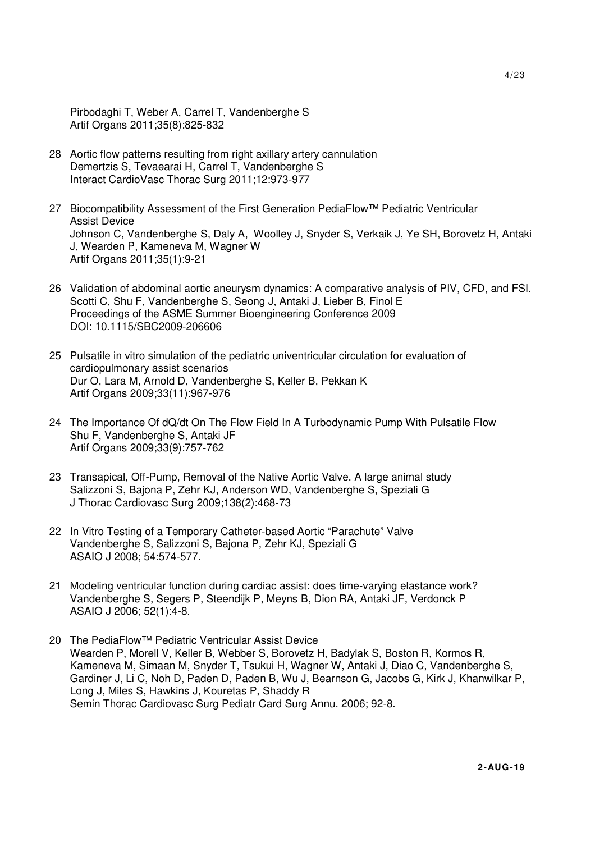Pirbodaghi T, Weber A, Carrel T, Vandenberghe S Artif Organs 2011;35(8):825-832

- 28 Aortic flow patterns resulting from right axillary artery cannulation Demertzis S, Tevaearai H, Carrel T, Vandenberghe S Interact CardioVasc Thorac Surg 2011;12:973-977
- 27 Biocompatibility Assessment of the First Generation PediaFlow™ Pediatric Ventricular Assist Device Johnson C, Vandenberghe S, Daly A, Woolley J, Snyder S, Verkaik J, Ye SH, Borovetz H, Antaki J, Wearden P, Kameneva M, Wagner W Artif Organs 2011;35(1):9-21
- 26 Validation of abdominal aortic aneurysm dynamics: A comparative analysis of PIV, CFD, and FSI. Scotti C, Shu F, Vandenberghe S, Seong J, Antaki J, Lieber B, Finol E Proceedings of the ASME Summer Bioengineering Conference 2009 DOI: 10.1115/SBC2009-206606
- 25 Pulsatile in vitro simulation of the pediatric univentricular circulation for evaluation of cardiopulmonary assist scenarios Dur O, Lara M, Arnold D, Vandenberghe S, Keller B, Pekkan K Artif Organs 2009;33(11):967-976
- 24 The Importance Of dQ/dt On The Flow Field In A Turbodynamic Pump With Pulsatile Flow Shu F, Vandenberghe S, Antaki JF Artif Organs 2009;33(9):757-762
- 23 Transapical, Off-Pump, Removal of the Native Aortic Valve. A large animal study Salizzoni S, Bajona P, Zehr KJ, Anderson WD, Vandenberghe S, Speziali G J Thorac Cardiovasc Surg 2009;138(2):468-73
- 22 In Vitro Testing of a Temporary Catheter-based Aortic "Parachute" Valve Vandenberghe S, Salizzoni S, Bajona P, Zehr KJ, Speziali G ASAIO J 2008; 54:574-577.
- 21 Modeling ventricular function during cardiac assist: does time-varying elastance work? Vandenberghe S, Segers P, Steendijk P, Meyns B, Dion RA, Antaki JF, Verdonck P ASAIO J 2006; 52(1):4-8.
- 20 The PediaFlow™ Pediatric Ventricular Assist Device Wearden P, Morell V, Keller B, Webber S, Borovetz H, Badylak S, Boston R, Kormos R, Kameneva M, Simaan M, Snyder T, Tsukui H, Wagner W, Antaki J, Diao C, Vandenberghe S, Gardiner J, Li C, Noh D, Paden D, Paden B, Wu J, Bearnson G, Jacobs G, Kirk J, Khanwilkar P, Long J, Miles S, Hawkins J, Kouretas P, Shaddy R Semin Thorac Cardiovasc Surg Pediatr Card Surg Annu. 2006; 92-8.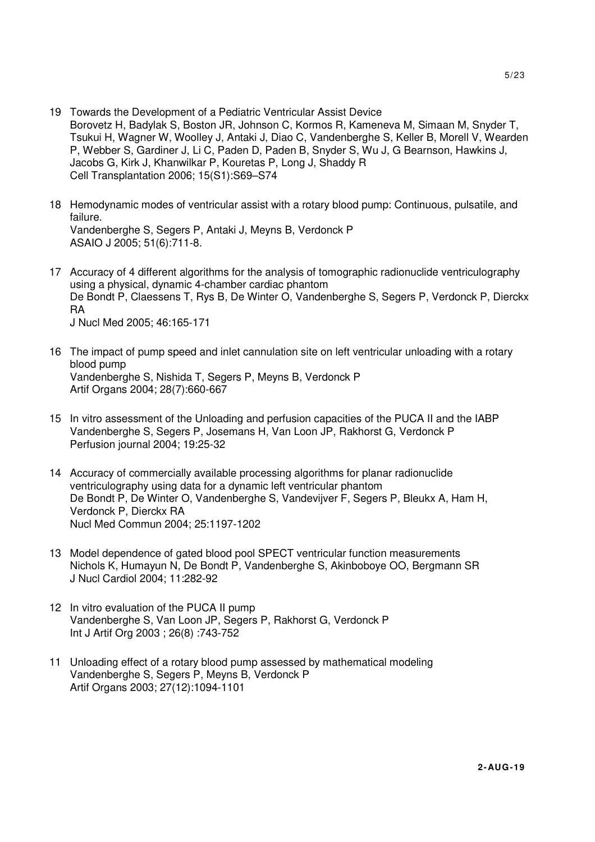- 19 Towards the Development of a Pediatric Ventricular Assist Device Borovetz H, Badylak S, Boston JR, Johnson C, Kormos R, Kameneva M, Simaan M, Snyder T, Tsukui H, Wagner W, Woolley J, Antaki J, Diao C, Vandenberghe S, Keller B, Morell V, Wearden P, Webber S, Gardiner J, Li C, Paden D, Paden B, Snyder S, Wu J, G Bearnson, Hawkins J, Jacobs G, Kirk J, Khanwilkar P, Kouretas P, Long J, Shaddy R Cell Transplantation 2006; 15(S1):S69–S74
- 18 Hemodynamic modes of ventricular assist with a rotary blood pump: Continuous, pulsatile, and failure. Vandenberghe S, Segers P, Antaki J, Meyns B, Verdonck P ASAIO J 2005; 51(6):711-8.
- 17 Accuracy of 4 different algorithms for the analysis of tomographic radionuclide ventriculography using a physical, dynamic 4-chamber cardiac phantom De Bondt P, Claessens T, Rys B, De Winter O, Vandenberghe S, Segers P, Verdonck P, Dierckx RA J Nucl Med 2005; 46:165-171
- 16 The impact of pump speed and inlet cannulation site on left ventricular unloading with a rotary blood pump Vandenberghe S, Nishida T, Segers P, Meyns B, Verdonck P Artif Organs 2004; 28(7):660-667
- 15 In vitro assessment of the Unloading and perfusion capacities of the PUCA II and the IABP Vandenberghe S, Segers P, Josemans H, Van Loon JP, Rakhorst G, Verdonck P Perfusion journal 2004; 19:25-32
- 14 Accuracy of commercially available processing algorithms for planar radionuclide ventriculography using data for a dynamic left ventricular phantom De Bondt P, De Winter O, Vandenberghe S, Vandevijver F, Segers P, Bleukx A, Ham H, Verdonck P, Dierckx RA Nucl Med Commun 2004; 25:1197-1202
- 13 Model dependence of gated blood pool SPECT ventricular function measurements Nichols K, Humayun N, De Bondt P, Vandenberghe S, Akinboboye OO, Bergmann SR J Nucl Cardiol 2004; 11:282-92
- 12 In vitro evaluation of the PUCA II pump Vandenberghe S, Van Loon JP, Segers P, Rakhorst G, Verdonck P Int J Artif Org 2003 ; 26(8) :743-752
- 11 Unloading effect of a rotary blood pump assessed by mathematical modeling Vandenberghe S, Segers P, Meyns B, Verdonck P Artif Organs 2003; 27(12):1094-1101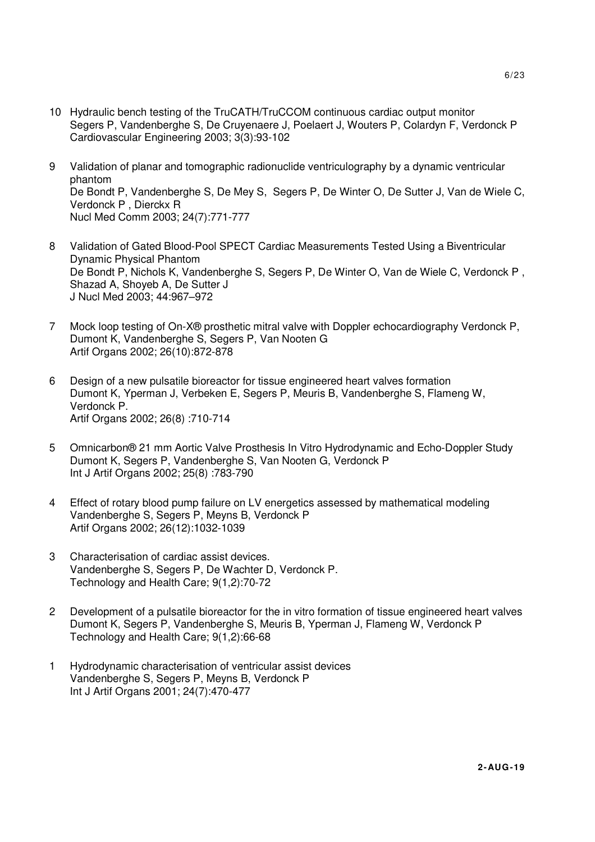- 10 Hydraulic bench testing of the TruCATH/TruCCOM continuous cardiac output monitor Segers P, Vandenberghe S, De Cruyenaere J, Poelaert J, Wouters P, Colardyn F, Verdonck P Cardiovascular Engineering 2003; 3(3):93-102
- 9 Validation of planar and tomographic radionuclide ventriculography by a dynamic ventricular phantom De Bondt P, Vandenberghe S, De Mey S, Segers P, De Winter O, De Sutter J, Van de Wiele C, Verdonck P , Dierckx R Nucl Med Comm 2003; 24(7):771-777
- 8 Validation of Gated Blood-Pool SPECT Cardiac Measurements Tested Using a Biventricular Dynamic Physical Phantom De Bondt P, Nichols K, Vandenberghe S, Segers P, De Winter O, Van de Wiele C, Verdonck P , Shazad A, Shoyeb A, De Sutter J J Nucl Med 2003; 44:967–972
- 7 Mock loop testing of On-X® prosthetic mitral valve with Doppler echocardiography Verdonck P, Dumont K, Vandenberghe S, Segers P, Van Nooten G Artif Organs 2002; 26(10):872-878
- 6 Design of a new pulsatile bioreactor for tissue engineered heart valves formation Dumont K, Yperman J, Verbeken E, Segers P, Meuris B, Vandenberghe S, Flameng W, Verdonck P. Artif Organs 2002; 26(8) :710-714
- 5 Omnicarbon® 21 mm Aortic Valve Prosthesis In Vitro Hydrodynamic and Echo-Doppler Study Dumont K, Segers P, Vandenberghe S, Van Nooten G, Verdonck P Int J Artif Organs 2002; 25(8) :783-790
- 4 Effect of rotary blood pump failure on LV energetics assessed by mathematical modeling Vandenberghe S, Segers P, Meyns B, Verdonck P Artif Organs 2002; 26(12):1032-1039
- 3 Characterisation of cardiac assist devices. Vandenberghe S, Segers P, De Wachter D, Verdonck P. Technology and Health Care; 9(1,2):70-72
- 2 Development of a pulsatile bioreactor for the in vitro formation of tissue engineered heart valves Dumont K, Segers P, Vandenberghe S, Meuris B, Yperman J, Flameng W, Verdonck P Technology and Health Care; 9(1,2):66-68
- 1 Hydrodynamic characterisation of ventricular assist devices Vandenberghe S, Segers P, Meyns B, Verdonck P Int J Artif Organs 2001; 24(7):470-477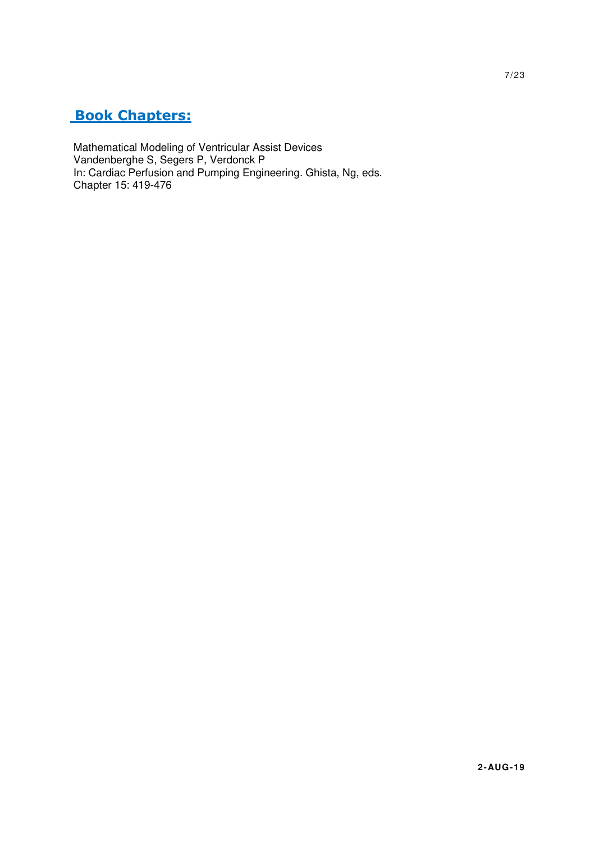# **Book Chapters:**

Mathematical Modeling of Ventricular Assist Devices Vandenberghe S, Segers P, Verdonck P In: Cardiac Perfusion and Pumping Engineering. Ghista, Ng, eds. Chapter 15: 419-476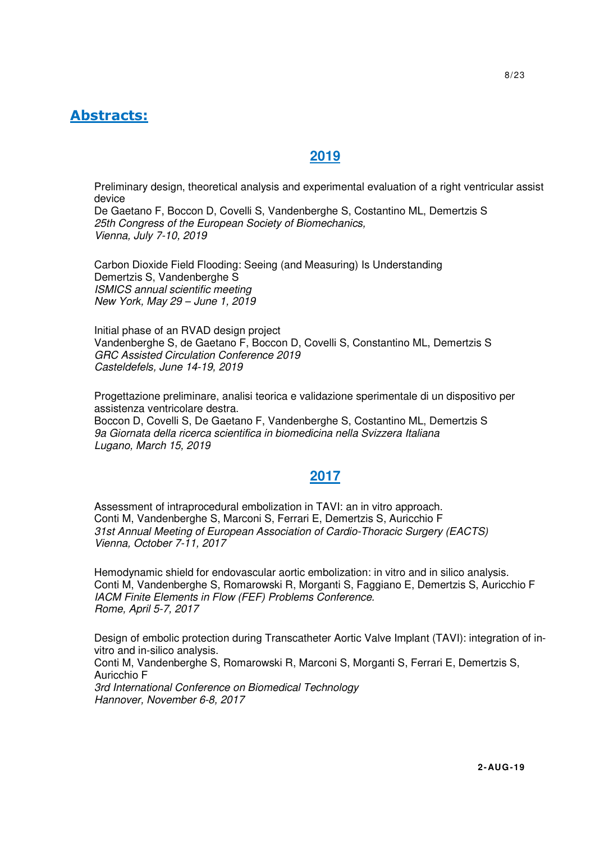# **Abstracts:**

# **2019**

Preliminary design, theoretical analysis and experimental evaluation of a right ventricular assist device De Gaetano F, Boccon D, Covelli S, Vandenberghe S, Costantino ML, Demertzis S

25th Congress of the European Society of Biomechanics, Vienna, July 7-10, 2019

Carbon Dioxide Field Flooding: Seeing (and Measuring) Is Understanding Demertzis S, Vandenberghe S ISMICS annual scientific meeting New York, May 29 – June 1, 2019

Initial phase of an RVAD design project Vandenberghe S, de Gaetano F, Boccon D, Covelli S, Constantino ML, Demertzis S GRC Assisted Circulation Conference 2019 Casteldefels, June 14-19, 2019

Progettazione preliminare, analisi teorica e validazione sperimentale di un dispositivo per assistenza ventricolare destra. Boccon D, Covelli S, De Gaetano F, Vandenberghe S, Costantino ML, Demertzis S 9a Giornata della ricerca scientifica in biomedicina nella Svizzera Italiana

Lugano, March 15, 2019

# **2017**

Assessment of intraprocedural embolization in TAVI: an in vitro approach. Conti M, Vandenberghe S, Marconi S, Ferrari E, Demertzis S, Auricchio F 31st Annual Meeting of European Association of Cardio-Thoracic Surgery (EACTS) Vienna, October 7-11, 2017

Hemodynamic shield for endovascular aortic embolization: in vitro and in silico analysis. Conti M, Vandenberghe S, Romarowski R, Morganti S, Faggiano E, Demertzis S, Auricchio F IACM Finite Elements in Flow (FEF) Problems Conference. Rome, April 5-7, 2017

Design of embolic protection during Transcatheter Aortic Valve Implant (TAVI): integration of invitro and in-silico analysis.

Conti M, Vandenberghe S, Romarowski R, Marconi S, Morganti S, Ferrari E, Demertzis S, Auricchio F 3rd International Conference on Biomedical Technology

Hannover, November 6-8, 2017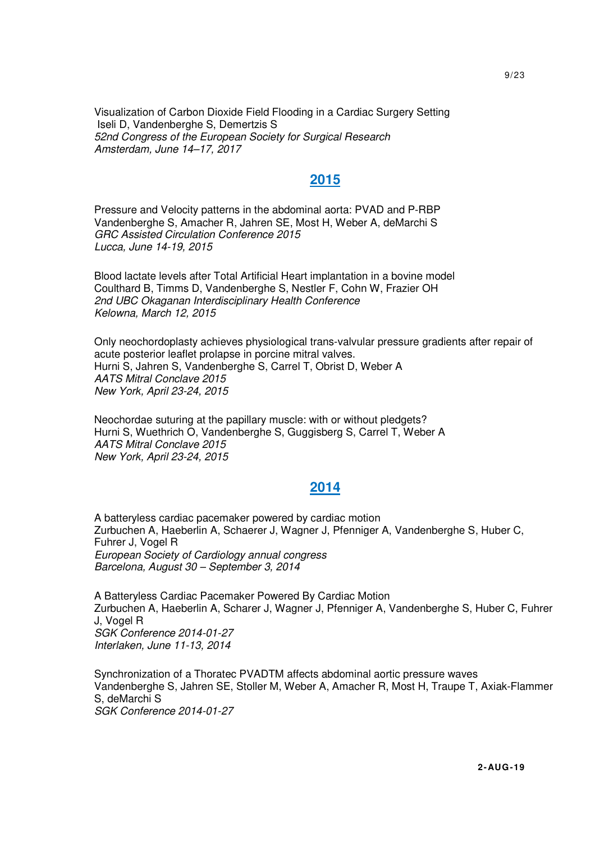Visualization of Carbon Dioxide Field Flooding in a Cardiac Surgery Setting Iseli D, Vandenberghe S, Demertzis S 52nd Congress of the European Society for Surgical Research Amsterdam, June 14–17, 2017

## **2015**

 Pressure and Velocity patterns in the abdominal aorta: PVAD and P-RBP Vandenberghe S, Amacher R, Jahren SE, Most H, Weber A, deMarchi S GRC Assisted Circulation Conference 2015 Lucca, June 14-19, 2015

 Blood lactate levels after Total Artificial Heart implantation in a bovine model Coulthard B, Timms D, Vandenberghe S, Nestler F, Cohn W, Frazier OH 2nd UBC Okaganan Interdisciplinary Health Conference Kelowna, March 12, 2015

 Only neochordoplasty achieves physiological trans-valvular pressure gradients after repair of acute posterior leaflet prolapse in porcine mitral valves. Hurni S, Jahren S, Vandenberghe S, Carrel T, Obrist D, Weber A AATS Mitral Conclave 2015 New York, April 23-24, 2015

 Neochordae suturing at the papillary muscle: with or without pledgets? Hurni S, Wuethrich O, Vandenberghe S, Guggisberg S, Carrel T, Weber A AATS Mitral Conclave 2015 New York, April 23-24, 2015

### **2014**

 A batteryless cardiac pacemaker powered by cardiac motion Zurbuchen A, Haeberlin A, Schaerer J, Wagner J, Pfenniger A, Vandenberghe S, Huber C, Fuhrer J, Vogel R European Society of Cardiology annual congress Barcelona, August 30 – September 3, 2014

 A Batteryless Cardiac Pacemaker Powered By Cardiac Motion Zurbuchen A, Haeberlin A, Scharer J, Wagner J, Pfenniger A, Vandenberghe S, Huber C, Fuhrer J, Vogel R SGK Conference 2014-01-27 Interlaken, June 11-13, 2014

 Synchronization of a Thoratec PVADTM affects abdominal aortic pressure waves Vandenberghe S, Jahren SE, Stoller M, Weber A, Amacher R, Most H, Traupe T, Axiak-Flammer S, deMarchi S SGK Conference 2014-01-27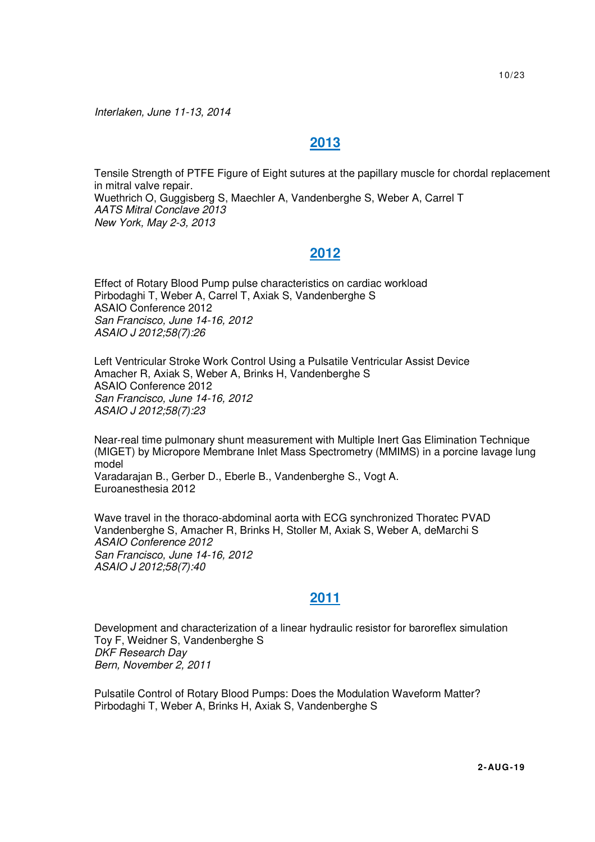Interlaken, June 11-13, 2014

## **2013**

 Tensile Strength of PTFE Figure of Eight sutures at the papillary muscle for chordal replacement in mitral valve repair. Wuethrich O, Guggisberg S, Maechler A, Vandenberghe S, Weber A, Carrel T AATS Mitral Conclave 2013 New York, May 2-3, 2013

## **2012**

 Effect of Rotary Blood Pump pulse characteristics on cardiac workload Pirbodaghi T, Weber A, Carrel T, Axiak S, Vandenberghe S ASAIO Conference 2012 San Francisco, June 14-16, 2012 ASAIO J 2012;58(7):26

 Left Ventricular Stroke Work Control Using a Pulsatile Ventricular Assist Device Amacher R, Axiak S, Weber A, Brinks H, Vandenberghe S ASAIO Conference 2012 San Francisco, June 14-16, 2012 ASAIO J 2012;58(7):23

 Near-real time pulmonary shunt measurement with Multiple Inert Gas Elimination Technique (MIGET) by Micropore Membrane Inlet Mass Spectrometry (MMIMS) in a porcine lavage lung model Varadarajan B., Gerber D., Eberle B., Vandenberghe S., Vogt A.

Euroanesthesia 2012

 Wave travel in the thoraco-abdominal aorta with ECG synchronized Thoratec PVAD Vandenberghe S, Amacher R, Brinks H, Stoller M, Axiak S, Weber A, deMarchi S ASAIO Conference 2012 San Francisco, June 14-16, 2012 ASAIO J 2012;58(7):40

### **2011**

 Development and characterization of a linear hydraulic resistor for baroreflex simulation Toy F, Weidner S, Vandenberghe S DKF Research Day Bern, November 2, 2011

 Pulsatile Control of Rotary Blood Pumps: Does the Modulation Waveform Matter? Pirbodaghi T, Weber A, Brinks H, Axiak S, Vandenberghe S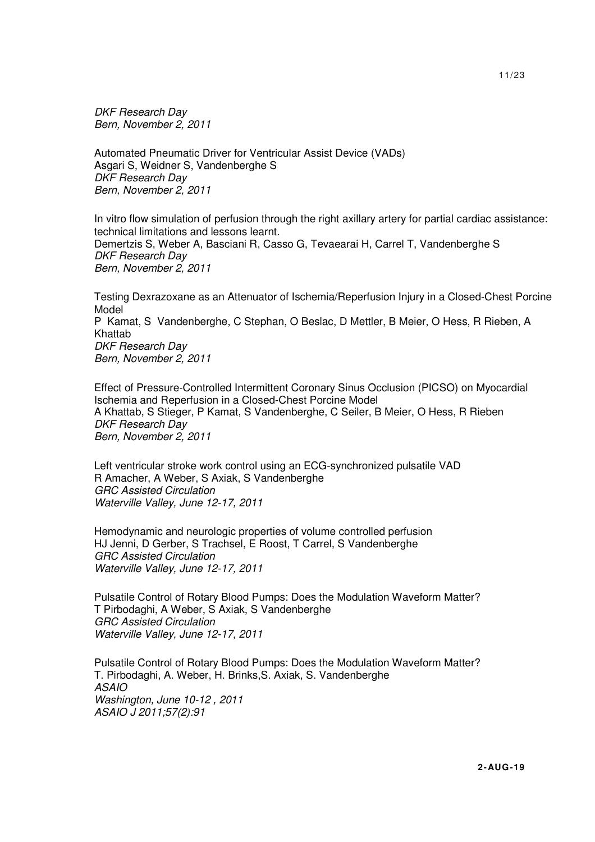DKF Research Day Bern, November 2, 2011

 Automated Pneumatic Driver for Ventricular Assist Device (VADs) Asgari S, Weidner S, Vandenberghe S DKF Research Day Bern, November 2, 2011

 In vitro flow simulation of perfusion through the right axillary artery for partial cardiac assistance: technical limitations and lessons learnt. Demertzis S, Weber A, Basciani R, Casso G, Tevaearai H, Carrel T, Vandenberghe S DKF Research Day Bern, November 2, 2011

 Testing Dexrazoxane as an Attenuator of Ischemia/Reperfusion Injury in a Closed-Chest Porcine Model P Kamat, S Vandenberghe, C Stephan, O Beslac, D Mettler, B Meier, O Hess, R Rieben, A Khattab DKF Research Day Bern, November 2, 2011

 Effect of Pressure-Controlled Intermittent Coronary Sinus Occlusion (PICSO) on Myocardial Ischemia and Reperfusion in a Closed-Chest Porcine Model A Khattab, S Stieger, P Kamat, S Vandenberghe, C Seiler, B Meier, O Hess, R Rieben DKF Research Day Bern, November 2, 2011

 Left ventricular stroke work control using an ECG-synchronized pulsatile VAD R Amacher, A Weber, S Axiak, S Vandenberghe GRC Assisted Circulation Waterville Valley, June 12-17, 2011

 Hemodynamic and neurologic properties of volume controlled perfusion HJ Jenni, D Gerber, S Trachsel, E Roost, T Carrel, S Vandenberghe GRC Assisted Circulation Waterville Valley, June 12-17, 2011

 Pulsatile Control of Rotary Blood Pumps: Does the Modulation Waveform Matter? T Pirbodaghi, A Weber, S Axiak, S Vandenberghe GRC Assisted Circulation Waterville Valley, June 12-17, 2011

 Pulsatile Control of Rotary Blood Pumps: Does the Modulation Waveform Matter? T. Pirbodaghi, A. Weber, H. Brinks,S. Axiak, S. Vandenberghe ASAIO Washington, June 10-12 , 2011 ASAIO J 2011;57(2):91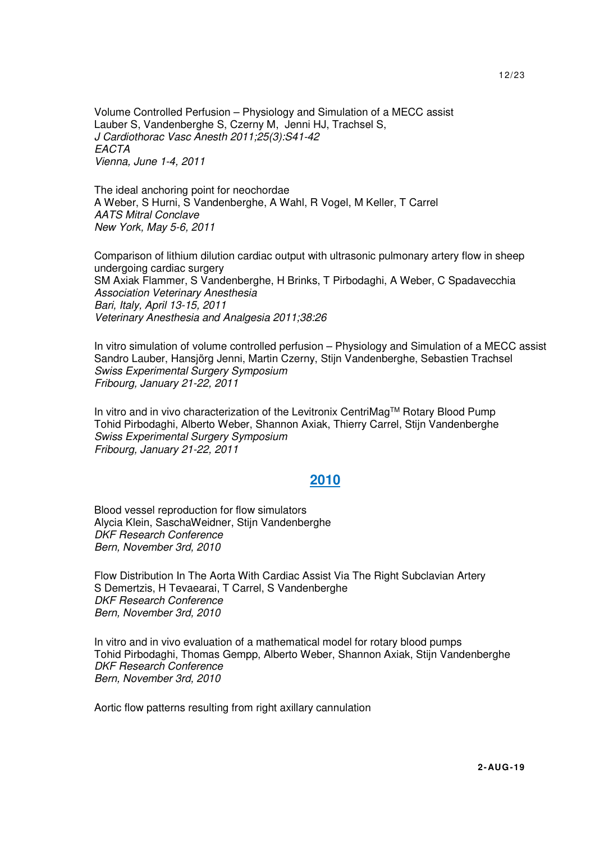Volume Controlled Perfusion – Physiology and Simulation of a MECC assist Lauber S, Vandenberghe S, Czerny M, Jenni HJ, Trachsel S, J Cardiothorac Vasc Anesth 2011;25(3):S41-42 **EACTA** Vienna, June 1-4, 2011

 The ideal anchoring point for neochordae A Weber, S Hurni, S Vandenberghe, A Wahl, R Vogel, M Keller, T Carrel AATS Mitral Conclave New York, May 5-6, 2011

 Comparison of lithium dilution cardiac output with ultrasonic pulmonary artery flow in sheep undergoing cardiac surgery SM Axiak Flammer, S Vandenberghe, H Brinks, T Pirbodaghi, A Weber, C Spadavecchia Association Veterinary Anesthesia Bari, Italy, April 13-15, 2011 Veterinary Anesthesia and Analgesia 2011;38:26

 In vitro simulation of volume controlled perfusion – Physiology and Simulation of a MECC assist Sandro Lauber, Hansjörg Jenni, Martin Czerny, Stijn Vandenberghe, Sebastien Trachsel Swiss Experimental Surgery Symposium Fribourg, January 21-22, 2011

 In vitro and in vivo characterization of the Levitronix CentriMagTM Rotary Blood Pump Tohid Pirbodaghi, Alberto Weber, Shannon Axiak, Thierry Carrel, Stijn Vandenberghe Swiss Experimental Surgery Symposium Fribourg, January 21-22, 2011

#### **2010**

 Blood vessel reproduction for flow simulators Alycia Klein, SaschaWeidner, Stijn Vandenberghe DKF Research Conference Bern, November 3rd, 2010

 Flow Distribution In The Aorta With Cardiac Assist Via The Right Subclavian Artery S Demertzis, H Tevaearai, T Carrel, S Vandenberghe DKF Research Conference Bern, November 3rd, 2010

 In vitro and in vivo evaluation of a mathematical model for rotary blood pumps Tohid Pirbodaghi, Thomas Gempp, Alberto Weber, Shannon Axiak, Stijn Vandenberghe DKF Research Conference Bern, November 3rd, 2010

Aortic flow patterns resulting from right axillary cannulation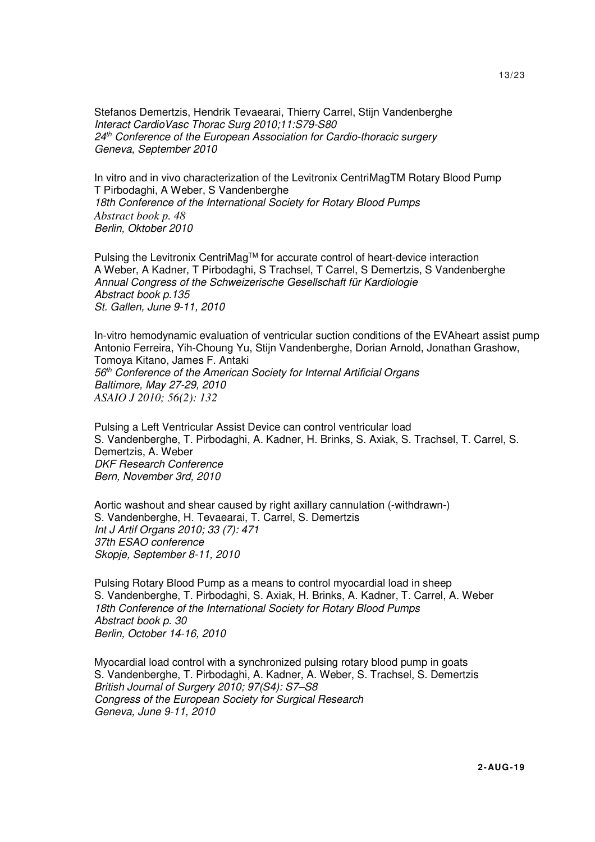Stefanos Demertzis, Hendrik Tevaearai, Thierry Carrel, Stijn Vandenberghe Interact CardioVasc Thorac Surg 2010;11:S79-S80 24<sup>th</sup> Conference of the European Association for Cardio-thoracic surgery Geneva, September 2010

 In vitro and in vivo characterization of the Levitronix CentriMagTM Rotary Blood Pump T Pirbodaghi, A Weber, S Vandenberghe 18th Conference of the International Society for Rotary Blood Pumps *Abstract book p. 48*  Berlin, Oktober 2010

Pulsing the Levitronix CentriMag™ for accurate control of heart-device interaction A Weber, A Kadner, T Pirbodaghi, S Trachsel, T Carrel, S Demertzis, S Vandenberghe Annual Congress of the Schweizerische Gesellschaft für Kardiologie Abstract book p.135 St. Gallen, June 9-11, 2010

 In-vitro hemodynamic evaluation of ventricular suction conditions of the EVAheart assist pump Antonio Ferreira, Yih-Choung Yu, Stijn Vandenberghe, Dorian Arnold, Jonathan Grashow, Tomoya Kitano, James F. Antaki 56<sup>th</sup> Conference of the American Society for Internal Artificial Organs Baltimore, May 27-29, 2010 *ASAIO J 2010; 56(2): 132* 

 Pulsing a Left Ventricular Assist Device can control ventricular load S. Vandenberghe, T. Pirbodaghi, A. Kadner, H. Brinks, S. Axiak, S. Trachsel, T. Carrel, S. Demertzis, A. Weber DKF Research Conference Bern, November 3rd, 2010

 Aortic washout and shear caused by right axillary cannulation (-withdrawn-) S. Vandenberghe, H. Tevaearai, T. Carrel, S. Demertzis Int J Artif Organs 2010; 33 (7): 471 37th ESAO conference Skopje, September 8-11, 2010

 Pulsing Rotary Blood Pump as a means to control myocardial load in sheep S. Vandenberghe, T. Pirbodaghi, S. Axiak, H. Brinks, A. Kadner, T. Carrel, A. Weber 18th Conference of the International Society for Rotary Blood Pumps Abstract book p. 30 Berlin, October 14-16, 2010

 Myocardial load control with a synchronized pulsing rotary blood pump in goats S. Vandenberghe, T. Pirbodaghi, A. Kadner, A. Weber, S. Trachsel, S. Demertzis British Journal of Surgery 2010; 97(S4): S7–S8 Congress of the European Society for Surgical Research Geneva, June 9-11, 2010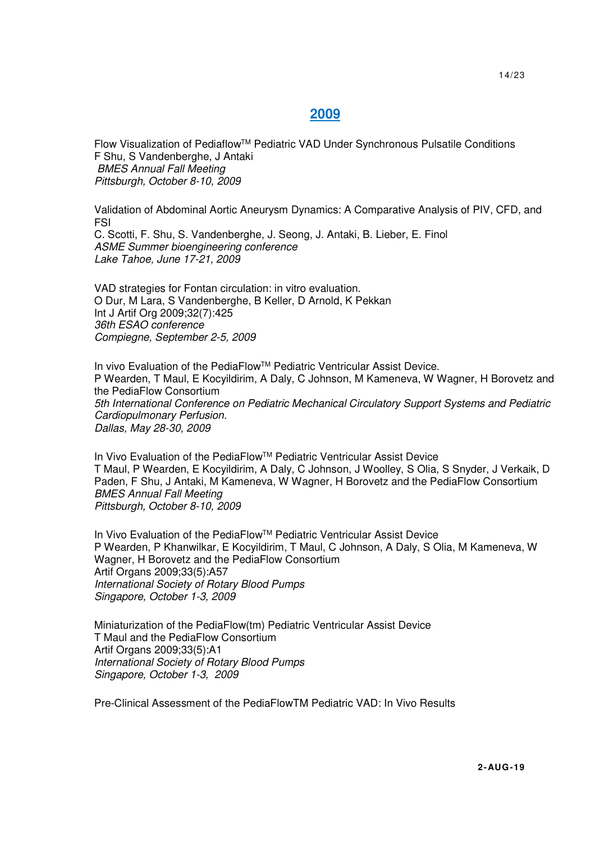## **2009**

 Flow Visualization of PediaflowTM Pediatric VAD Under Synchronous Pulsatile Conditions F Shu, S Vandenberghe, J Antaki BMES Annual Fall Meeting Pittsburgh, October 8-10, 2009

 Validation of Abdominal Aortic Aneurysm Dynamics: A Comparative Analysis of PIV, CFD, and FSI C. Scotti, F. Shu, S. Vandenberghe, J. Seong, J. Antaki, B. Lieber, E. Finol ASME Summer bioengineering conference

Lake Tahoe, June 17-21, 2009

 VAD strategies for Fontan circulation: in vitro evaluation. O Dur, M Lara, S Vandenberghe, B Keller, D Arnold, K Pekkan Int J Artif Org 2009;32(7):425 36th ESAO conference Compiegne, September 2-5, 2009

In vivo Evaluation of the PediaFlow™ Pediatric Ventricular Assist Device. P Wearden, T Maul, E Kocyildirim, A Daly, C Johnson, M Kameneva, W Wagner, H Borovetz and the PediaFlow Consortium 5th International Conference on Pediatric Mechanical Circulatory Support Systems and Pediatric Cardiopulmonary Perfusion. Dallas, May 28-30, 2009

 In Vivo Evaluation of the PediaFlowTM Pediatric Ventricular Assist Device T Maul, P Wearden, E Kocyildirim, A Daly, C Johnson, J Woolley, S Olia, S Snyder, J Verkaik, D Paden, F Shu, J Antaki, M Kameneva, W Wagner, H Borovetz and the PediaFlow Consortium BMES Annual Fall Meeting Pittsburgh, October 8-10, 2009

 In Vivo Evaluation of the PediaFlowTM Pediatric Ventricular Assist Device P Wearden, P Khanwilkar, E Kocyildirim, T Maul, C Johnson, A Daly, S Olia, M Kameneva, W Wagner, H Borovetz and the PediaFlow Consortium Artif Organs 2009;33(5):A57 International Society of Rotary Blood Pumps Singapore, October 1-3, 2009

 Miniaturization of the PediaFlow(tm) Pediatric Ventricular Assist Device T Maul and the PediaFlow Consortium Artif Organs 2009;33(5):A1 International Society of Rotary Blood Pumps Singapore, October 1-3, 2009

Pre-Clinical Assessment of the PediaFlowTM Pediatric VAD: In Vivo Results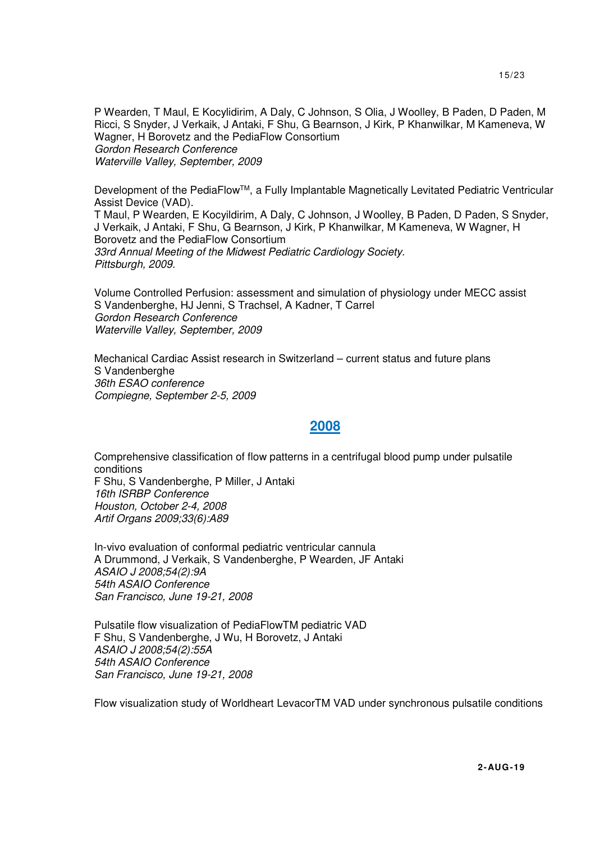P Wearden, T Maul, E Kocylidirim, A Daly, C Johnson, S Olia, J Woolley, B Paden, D Paden, M Ricci, S Snyder, J Verkaik, J Antaki, F Shu, G Bearnson, J Kirk, P Khanwilkar, M Kameneva, W Wagner, H Borovetz and the PediaFlow Consortium Gordon Research Conference Waterville Valley, September, 2009

Development of the PediaFlow™, a Fully Implantable Magnetically Levitated Pediatric Ventricular Assist Device (VAD).

T Maul, P Wearden, E Kocyildirim, A Daly, C Johnson, J Woolley, B Paden, D Paden, S Snyder, J Verkaik, J Antaki, F Shu, G Bearnson, J Kirk, P Khanwilkar, M Kameneva, W Wagner, H Borovetz and the PediaFlow Consortium 33rd Annual Meeting of the Midwest Pediatric Cardiology Society. Pittsburgh, 2009.

 Volume Controlled Perfusion: assessment and simulation of physiology under MECC assist S Vandenberghe, HJ Jenni, S Trachsel, A Kadner, T Carrel Gordon Research Conference Waterville Valley, September, 2009

 Mechanical Cardiac Assist research in Switzerland – current status and future plans S Vandenberghe 36th ESAO conference Compiegne, September 2-5, 2009

### **2008**

 Comprehensive classification of flow patterns in a centrifugal blood pump under pulsatile conditions F Shu, S Vandenberghe, P Miller, J Antaki 16th ISRBP Conference Houston, October 2-4, 2008 Artif Organs 2009;33(6):A89

 In-vivo evaluation of conformal pediatric ventricular cannula A Drummond, J Verkaik, S Vandenberghe, P Wearden, JF Antaki ASAIO J 2008;54(2):9A 54th ASAIO Conference San Francisco, June 19-21, 2008

 Pulsatile flow visualization of PediaFlowTM pediatric VAD F Shu, S Vandenberghe, J Wu, H Borovetz, J Antaki ASAIO J 2008;54(2):55A 54th ASAIO Conference San Francisco, June 19-21, 2008

Flow visualization study of Worldheart LevacorTM VAD under synchronous pulsatile conditions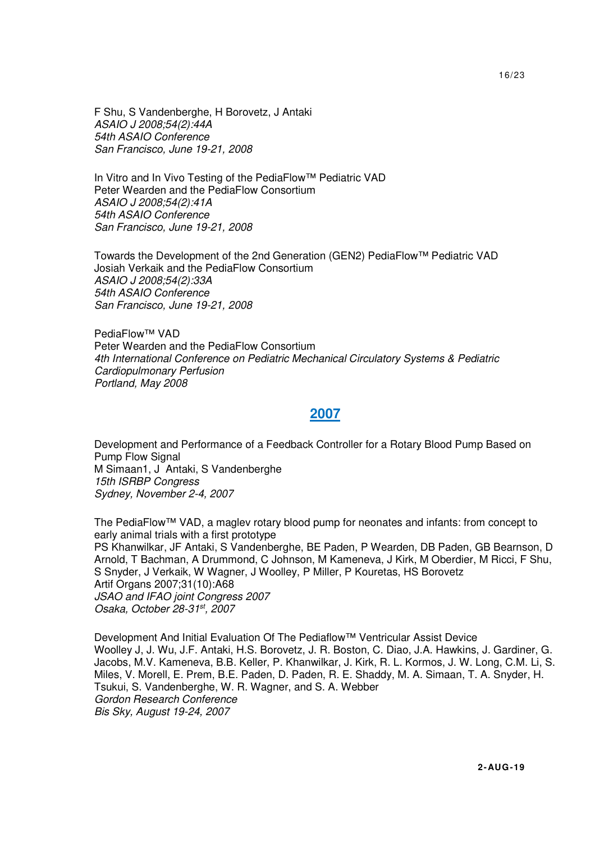F Shu, S Vandenberghe, H Borovetz, J Antaki ASAIO J 2008;54(2):44A 54th ASAIO Conference San Francisco, June 19-21, 2008

 In Vitro and In Vivo Testing of the PediaFlow™ Pediatric VAD Peter Wearden and the PediaFlow Consortium ASAIO J 2008;54(2):41A 54th ASAIO Conference San Francisco, June 19-21, 2008

 Towards the Development of the 2nd Generation (GEN2) PediaFlow™ Pediatric VAD Josiah Verkaik and the PediaFlow Consortium ASAIO J 2008;54(2):33A 54th ASAIO Conference San Francisco, June 19-21, 2008

 PediaFlow™ VAD Peter Wearden and the PediaFlow Consortium 4th International Conference on Pediatric Mechanical Circulatory Systems & Pediatric Cardiopulmonary Perfusion Portland, May 2008

#### **2007**

 Development and Performance of a Feedback Controller for a Rotary Blood Pump Based on Pump Flow Signal M Simaan1, J Antaki, S Vandenberghe 15th ISRBP Congress Sydney, November 2-4, 2007

 The PediaFlow™ VAD, a maglev rotary blood pump for neonates and infants: from concept to early animal trials with a first prototype PS Khanwilkar, JF Antaki, S Vandenberghe, BE Paden, P Wearden, DB Paden, GB Bearnson, D Arnold, T Bachman, A Drummond, C Johnson, M Kameneva, J Kirk, M Oberdier, M Ricci, F Shu, S Snyder, J Verkaik, W Wagner, J Woolley, P Miller, P Kouretas, HS Borovetz Artif Organs 2007;31(10):A68 JSAO and IFAO joint Congress 2007 Osaka, October 28-31st, 2007

 Development And Initial Evaluation Of The Pediaflow™ Ventricular Assist Device Woolley J, J. Wu, J.F. Antaki, H.S. Borovetz, J. R. Boston, C. Diao, J.A. Hawkins, J. Gardiner, G. Jacobs, M.V. Kameneva, B.B. Keller, P. Khanwilkar, J. Kirk, R. L. Kormos, J. W. Long, C.M. Li, S. Miles, V. Morell, E. Prem, B.E. Paden, D. Paden, R. E. Shaddy, M. A. Simaan, T. A. Snyder, H. Tsukui, S. Vandenberghe, W. R. Wagner, and S. A. Webber Gordon Research Conference Bis Sky, August 19-24, 2007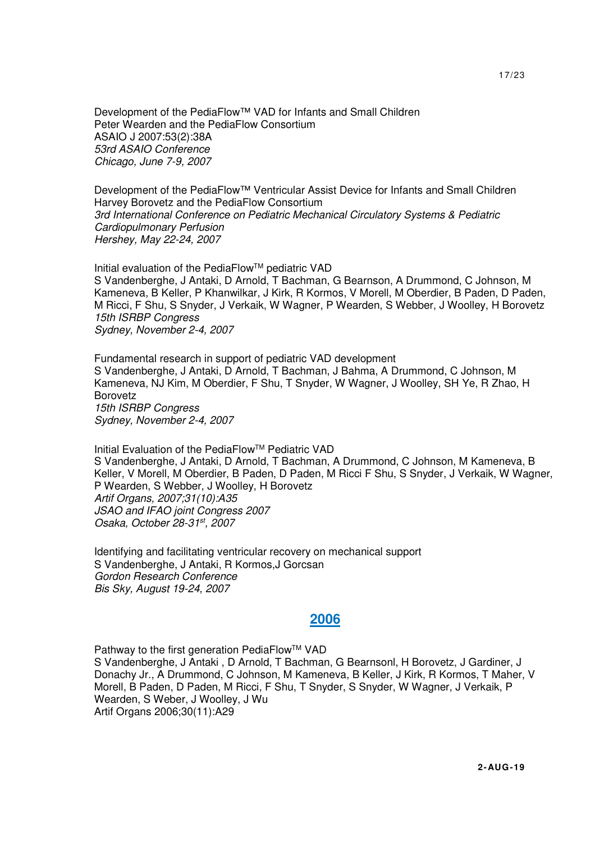Development of the PediaFlow™ VAD for Infants and Small Children Peter Wearden and the PediaFlow Consortium ASAIO J 2007:53(2):38A 53rd ASAIO Conference Chicago, June 7-9, 2007

Development of the PediaFlow™ Ventricular Assist Device for Infants and Small Children Harvey Borovetz and the PediaFlow Consortium 3rd International Conference on Pediatric Mechanical Circulatory Systems & Pediatric Cardiopulmonary Perfusion Hershey, May 22-24, 2007

 Initial evaluation of the PediaFlowTM pediatric VAD S Vandenberghe, J Antaki, D Arnold, T Bachman, G Bearnson, A Drummond, C Johnson, M Kameneva, B Keller, P Khanwilkar, J Kirk, R Kormos, V Morell, M Oberdier, B Paden, D Paden, M Ricci, F Shu, S Snyder, J Verkaik, W Wagner, P Wearden, S Webber, J Woolley, H Borovetz 15th ISRBP Congress Sydney, November 2-4, 2007

 Fundamental research in support of pediatric VAD development S Vandenberghe, J Antaki, D Arnold, T Bachman, J Bahma, A Drummond, C Johnson, M Kameneva, NJ Kim, M Oberdier, F Shu, T Snyder, W Wagner, J Woolley, SH Ye, R Zhao, H Borovetz 15th ISRBP Congress Sydney, November 2-4, 2007

 Initial Evaluation of the PediaFlowTM Pediatric VAD S Vandenberghe, J Antaki, D Arnold, T Bachman, A Drummond, C Johnson, M Kameneva, B Keller, V Morell, M Oberdier, B Paden, D Paden, M Ricci F Shu, S Snyder, J Verkaik, W Wagner, P Wearden, S Webber, J Woolley, H Borovetz Artif Organs, 2007;31(10):A35 JSAO and IFAO joint Congress 2007 Osaka, October 28-31st, 2007

 Identifying and facilitating ventricular recovery on mechanical support S Vandenberghe, J Antaki, R Kormos,J Gorcsan Gordon Research Conference Bis Sky, August 19-24, 2007

#### **2006**

Pathway to the first generation PediaFlow™ VAD S Vandenberghe, J Antaki , D Arnold, T Bachman, G Bearnsonl, H Borovetz, J Gardiner, J Donachy Jr., A Drummond, C Johnson, M Kameneva, B Keller, J Kirk, R Kormos, T Maher, V Morell, B Paden, D Paden, M Ricci, F Shu, T Snyder, S Snyder, W Wagner, J Verkaik, P Wearden, S Weber, J Woolley, J Wu Artif Organs 2006;30(11):A29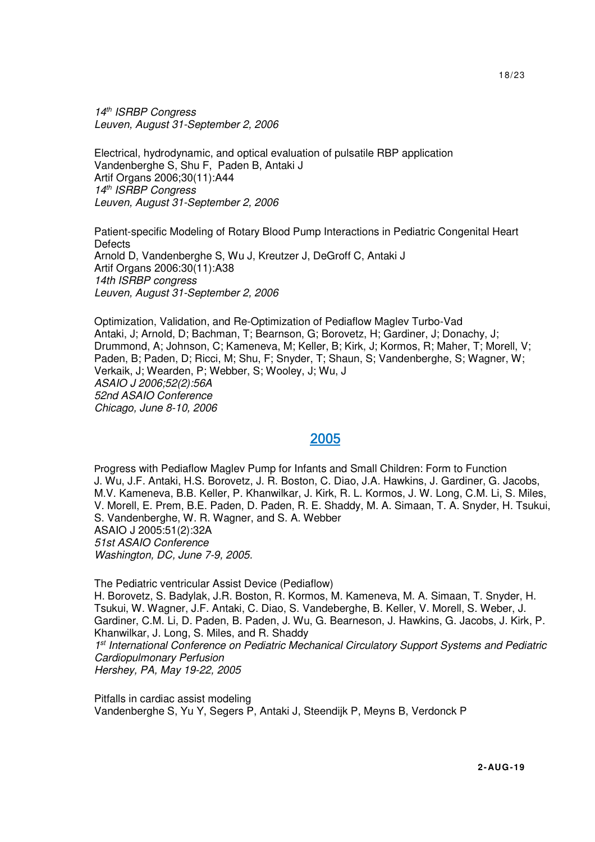14<sup>th</sup> ISRBP Congress Leuven, August 31-September 2, 2006

 Electrical, hydrodynamic, and optical evaluation of pulsatile RBP application Vandenberghe S, Shu F, Paden B, Antaki J Artif Organs 2006;30(11):A44 14<sup>th</sup> ISRBP Congress Leuven, August 31-September 2, 2006

 Patient-specific Modeling of Rotary Blood Pump Interactions in Pediatric Congenital Heart **Defects** Arnold D, Vandenberghe S, Wu J, Kreutzer J, DeGroff C, Antaki J Artif Organs 2006:30(11):A38 14th ISRBP congress Leuven, August 31-September 2, 2006

 Optimization, Validation, and Re-Optimization of Pediaflow Maglev Turbo-Vad Antaki, J; Arnold, D; Bachman, T; Bearnson, G; Borovetz, H; Gardiner, J; Donachy, J; Drummond, A; Johnson, C; Kameneva, M; Keller, B; Kirk, J; Kormos, R; Maher, T; Morell, V; Paden, B; Paden, D; Ricci, M; Shu, F; Snyder, T; Shaun, S; Vandenberghe, S; Wagner, W; Verkaik, J; Wearden, P; Webber, S; Wooley, J; Wu, J ASAIO J 2006;52(2):56A 52nd ASAIO Conference Chicago, June 8-10, 2006

#### 2005

Progress with Pediaflow Maglev Pump for Infants and Small Children: Form to Function J. Wu, J.F. Antaki, H.S. Borovetz, J. R. Boston, C. Diao, J.A. Hawkins, J. Gardiner, G. Jacobs, M.V. Kameneva, B.B. Keller, P. Khanwilkar, J. Kirk, R. L. Kormos, J. W. Long, C.M. Li, S. Miles, V. Morell, E. Prem, B.E. Paden, D. Paden, R. E. Shaddy, M. A. Simaan, T. A. Snyder, H. Tsukui, S. Vandenberghe, W. R. Wagner, and S. A. Webber ASAIO J 2005:51(2):32A 51st ASAIO Conference Washington, DC, June 7-9, 2005.

 The Pediatric ventricular Assist Device (Pediaflow) H. Borovetz, S. Badylak, J.R. Boston, R. Kormos, M. Kameneva, M. A. Simaan, T. Snyder, H. Tsukui, W. Wagner, J.F. Antaki, C. Diao, S. Vandeberghe, B. Keller, V. Morell, S. Weber, J. Gardiner, C.M. Li, D. Paden, B. Paden, J. Wu, G. Bearneson, J. Hawkins, G. Jacobs, J. Kirk, P. Khanwilkar, J. Long, S. Miles, and R. Shaddy 1<sup>st</sup> International Conference on Pediatric Mechanical Circulatory Support Systems and Pediatric Cardiopulmonary Perfusion Hershey, PA, May 19-22, 2005

 Pitfalls in cardiac assist modeling Vandenberghe S, Yu Y, Segers P, Antaki J, Steendijk P, Meyns B, Verdonck P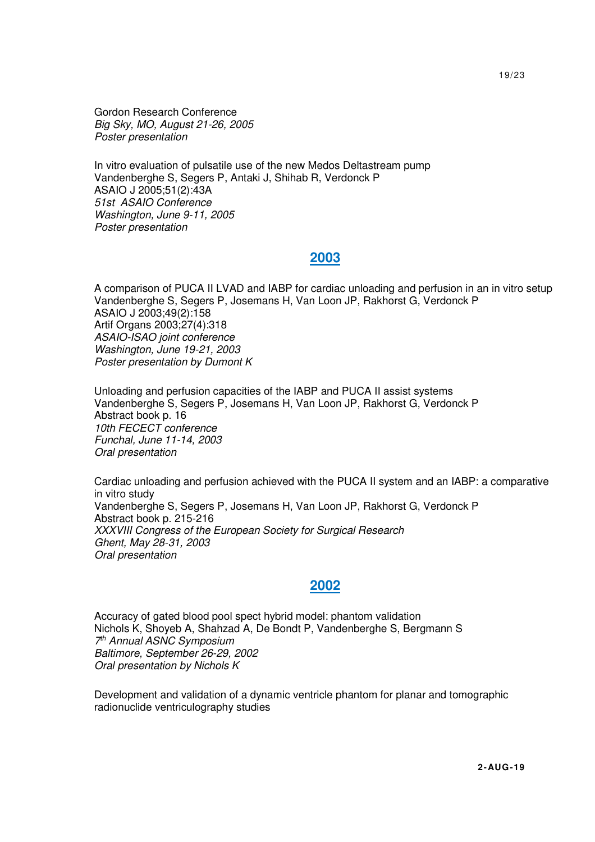Gordon Research Conference Big Sky, MO, August 21-26, 2005 Poster presentation

 In vitro evaluation of pulsatile use of the new Medos Deltastream pump Vandenberghe S, Segers P, Antaki J, Shihab R, Verdonck P ASAIO J 2005;51(2):43A 51st ASAIO Conference Washington, June 9-11, 2005 Poster presentation

### **2003**

 A comparison of PUCA II LVAD and IABP for cardiac unloading and perfusion in an in vitro setup Vandenberghe S, Segers P, Josemans H, Van Loon JP, Rakhorst G, Verdonck P ASAIO J 2003;49(2):158 Artif Organs 2003;27(4):318 ASAIO-ISAO joint conference Washington, June 19-21, 2003 Poster presentation by Dumont K

 Unloading and perfusion capacities of the IABP and PUCA II assist systems Vandenberghe S, Segers P, Josemans H, Van Loon JP, Rakhorst G, Verdonck P Abstract book p. 16 10th FECECT conference Funchal, June 11-14, 2003 Oral presentation

 Cardiac unloading and perfusion achieved with the PUCA II system and an IABP: a comparative in vitro study Vandenberghe S, Segers P, Josemans H, Van Loon JP, Rakhorst G, Verdonck P Abstract book p. 215-216 XXXVIII Congress of the European Society for Surgical Research Ghent, May 28-31, 2003 Oral presentation

# **2002**

 Accuracy of gated blood pool spect hybrid model: phantom validation Nichols K, Shoyeb A, Shahzad A, De Bondt P, Vandenberghe S, Bergmann S 7 th Annual ASNC Symposium Baltimore, September 26-29, 2002 Oral presentation by Nichols K

 Development and validation of a dynamic ventricle phantom for planar and tomographic radionuclide ventriculography studies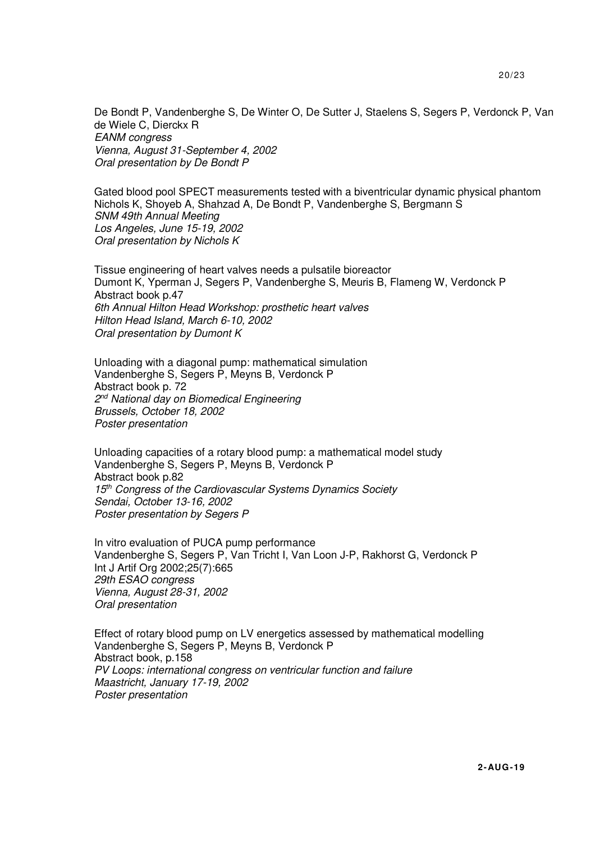De Bondt P, Vandenberghe S, De Winter O, De Sutter J, Staelens S, Segers P, Verdonck P, Van de Wiele C, Dierckx R EANM congress Vienna, August 31-September 4, 2002 Oral presentation by De Bondt P

 Gated blood pool SPECT measurements tested with a biventricular dynamic physical phantom Nichols K, Shoyeb A, Shahzad A, De Bondt P, Vandenberghe S, Bergmann S SNM 49th Annual Meeting Los Angeles, June 15-19, 2002 Oral presentation by Nichols K

 Tissue engineering of heart valves needs a pulsatile bioreactor Dumont K, Yperman J, Segers P, Vandenberghe S, Meuris B, Flameng W, Verdonck P Abstract book p.47 6th Annual Hilton Head Workshop: prosthetic heart valves Hilton Head Island, March 6-10, 2002 Oral presentation by Dumont K

 Unloading with a diagonal pump: mathematical simulation Vandenberghe S, Segers P, Meyns B, Verdonck P Abstract book p. 72 2<sup>nd</sup> National day on Biomedical Engineering Brussels, October 18, 2002 Poster presentation

 Unloading capacities of a rotary blood pump: a mathematical model study Vandenberghe S, Segers P, Meyns B, Verdonck P Abstract book p.82 15<sup>th</sup> Congress of the Cardiovascular Systems Dynamics Society Sendai, October 13-16, 2002 Poster presentation by Segers P

 In vitro evaluation of PUCA pump performance Vandenberghe S, Segers P, Van Tricht I, Van Loon J-P, Rakhorst G, Verdonck P Int J Artif Org 2002;25(7):665 29th ESAO congress Vienna, August 28-31, 2002 Oral presentation

 Effect of rotary blood pump on LV energetics assessed by mathematical modelling Vandenberghe S, Segers P, Meyns B, Verdonck P Abstract book, p.158 PV Loops: international congress on ventricular function and failure Maastricht, January 17-19, 2002 Poster presentation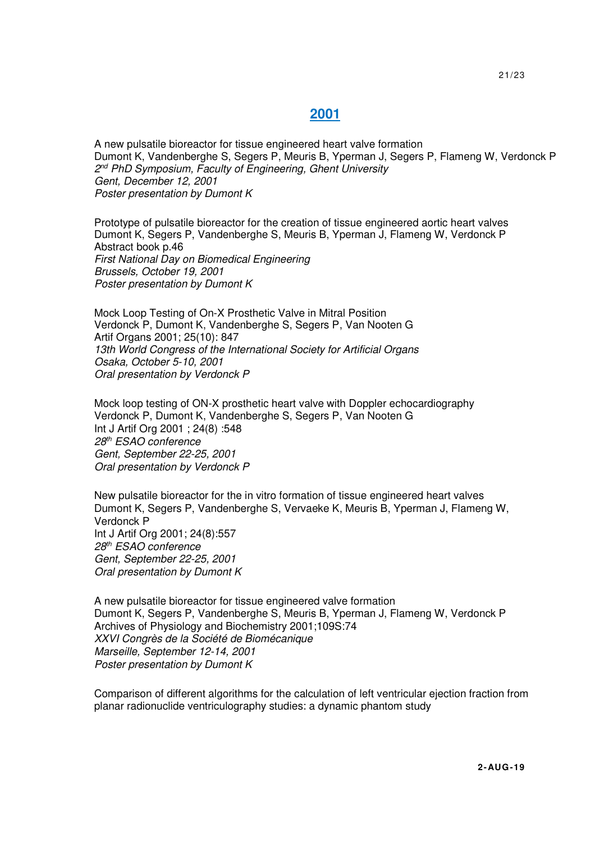## **2001**

 A new pulsatile bioreactor for tissue engineered heart valve formation Dumont K, Vandenberghe S, Segers P, Meuris B, Yperman J, Segers P, Flameng W, Verdonck P 2<sup>nd</sup> PhD Symposium, Faculty of Engineering, Ghent University Gent, December 12, 2001 Poster presentation by Dumont K

 Prototype of pulsatile bioreactor for the creation of tissue engineered aortic heart valves Dumont K, Segers P, Vandenberghe S, Meuris B, Yperman J, Flameng W, Verdonck P Abstract book p.46 First National Day on Biomedical Engineering Brussels, October 19, 2001 Poster presentation by Dumont K

 Mock Loop Testing of On-X Prosthetic Valve in Mitral Position Verdonck P, Dumont K, Vandenberghe S, Segers P, Van Nooten G Artif Organs 2001; 25(10): 847 13th World Congress of the International Society for Artificial Organs Osaka, October 5-10, 2001 Oral presentation by Verdonck P

 Mock loop testing of ON-X prosthetic heart valve with Doppler echocardiography Verdonck P, Dumont K, Vandenberghe S, Segers P, Van Nooten G Int J Artif Org 2001 ; 24(8) :548 28th ESAO conference Gent, September 22-25, 2001 Oral presentation by Verdonck P

 New pulsatile bioreactor for the in vitro formation of tissue engineered heart valves Dumont K, Segers P, Vandenberghe S, Vervaeke K, Meuris B, Yperman J, Flameng W, Verdonck P Int J Artif Org 2001; 24(8):557 28th ESAO conference Gent, September 22-25, 2001 Oral presentation by Dumont K

 A new pulsatile bioreactor for tissue engineered valve formation Dumont K, Segers P, Vandenberghe S, Meuris B, Yperman J, Flameng W, Verdonck P Archives of Physiology and Biochemistry 2001;109S:74 XXVI Congrès de la Société de Biomécanique Marseille, September 12-14, 2001 Poster presentation by Dumont K

 Comparison of different algorithms for the calculation of left ventricular ejection fraction from planar radionuclide ventriculography studies: a dynamic phantom study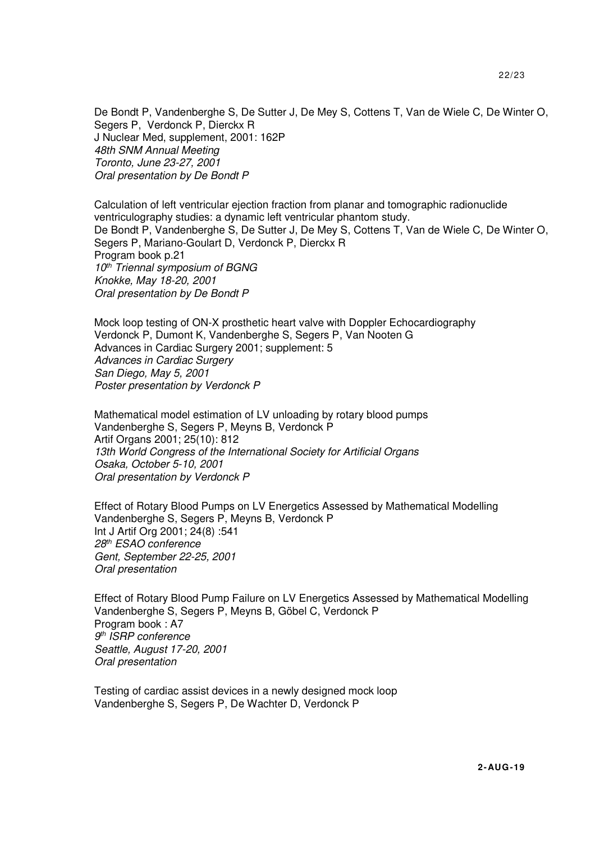De Bondt P, Vandenberghe S, De Sutter J, De Mey S, Cottens T, Van de Wiele C, De Winter O, Segers P, Verdonck P, Dierckx R J Nuclear Med, supplement, 2001: 162P 48th SNM Annual Meeting Toronto, June 23-27, 2001 Oral presentation by De Bondt P

 Calculation of left ventricular ejection fraction from planar and tomographic radionuclide ventriculography studies: a dynamic left ventricular phantom study. De Bondt P, Vandenberghe S, De Sutter J, De Mey S, Cottens T, Van de Wiele C, De Winter O, Segers P, Mariano-Goulart D, Verdonck P, Dierckx R Program book p.21 10<sup>th</sup> Triennal symposium of BGNG Knokke, May 18-20, 2001 Oral presentation by De Bondt P

 Mock loop testing of ON-X prosthetic heart valve with Doppler Echocardiography Verdonck P, Dumont K, Vandenberghe S, Segers P, Van Nooten G Advances in Cardiac Surgery 2001; supplement: 5 Advances in Cardiac Surgery San Diego, May 5, 2001 Poster presentation by Verdonck P

 Mathematical model estimation of LV unloading by rotary blood pumps Vandenberghe S, Segers P, Meyns B, Verdonck P Artif Organs 2001; 25(10): 812 13th World Congress of the International Society for Artificial Organs Osaka, October 5-10, 2001 Oral presentation by Verdonck P

 Effect of Rotary Blood Pumps on LV Energetics Assessed by Mathematical Modelling Vandenberghe S, Segers P, Meyns B, Verdonck P Int J Artif Org 2001; 24(8) :541 28th ESAO conference Gent, September 22-25, 2001 Oral presentation

 Effect of Rotary Blood Pump Failure on LV Energetics Assessed by Mathematical Modelling Vandenberghe S, Segers P, Meyns B, Göbel C, Verdonck P Program book : A7 9<sup>th</sup> ISRP conference Seattle, August 17-20, 2001 Oral presentation

 Testing of cardiac assist devices in a newly designed mock loop Vandenberghe S, Segers P, De Wachter D, Verdonck P